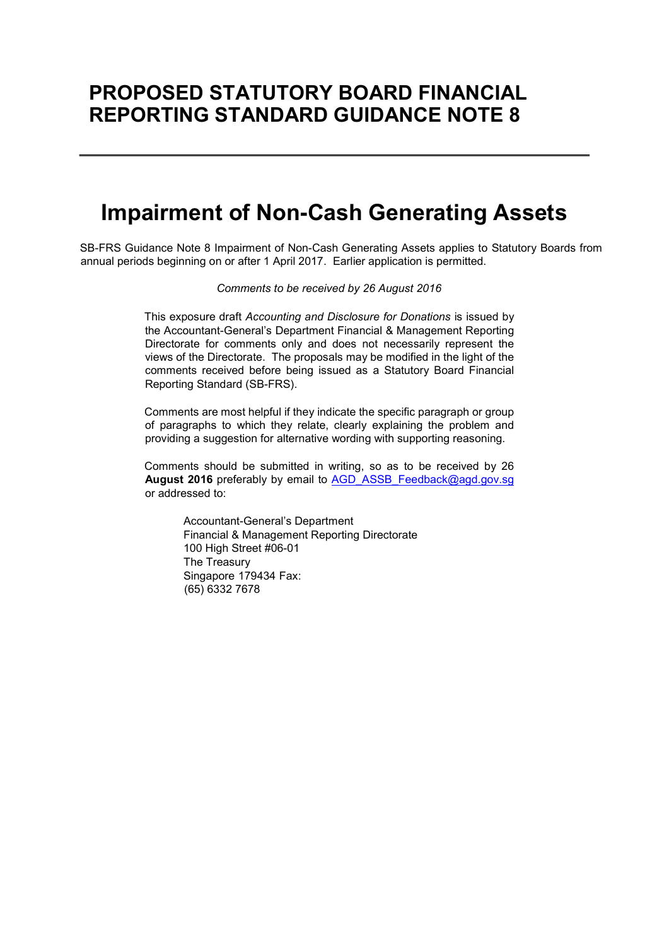# PROPOSED STATUTORY BOARD FINANCIAL REPORTING STANDARD GUIDANCE NOTE 8

# Impairment of Non-Cash Generating Assets

SB-FRS Guidance Note 8 Impairment of Non-Cash Generating Assets applies to Statutory Boards from annual periods beginning on or after 1 April 2017. Earlier application is permitted.

Comments to be received by 26 August 2016

This exposure draft Accounting and Disclosure for Donations is issued by the Accountant-General's Department Financial & Management Reporting Directorate for comments only and does not necessarily represent the views of the Directorate. The proposals may be modified in the light of the comments received before being issued as a Statutory Board Financial Reporting Standard (SB-FRS).

Comments are most helpful if they indicate the specific paragraph or group of paragraphs to which they relate, clearly explaining the problem and providing a suggestion for alternative wording with supporting reasoning.

Comments should be submitted in writing, so as to be received by 26 August 2016 preferably by email to AGD\_ASSB\_Feedback@agd.gov.sg or addressed to:

> Accountant-General's Department Financial & Management Reporting Directorate 100 High Street #06-01 The Treasury Singapore 179434 Fax: (65) 6332 7678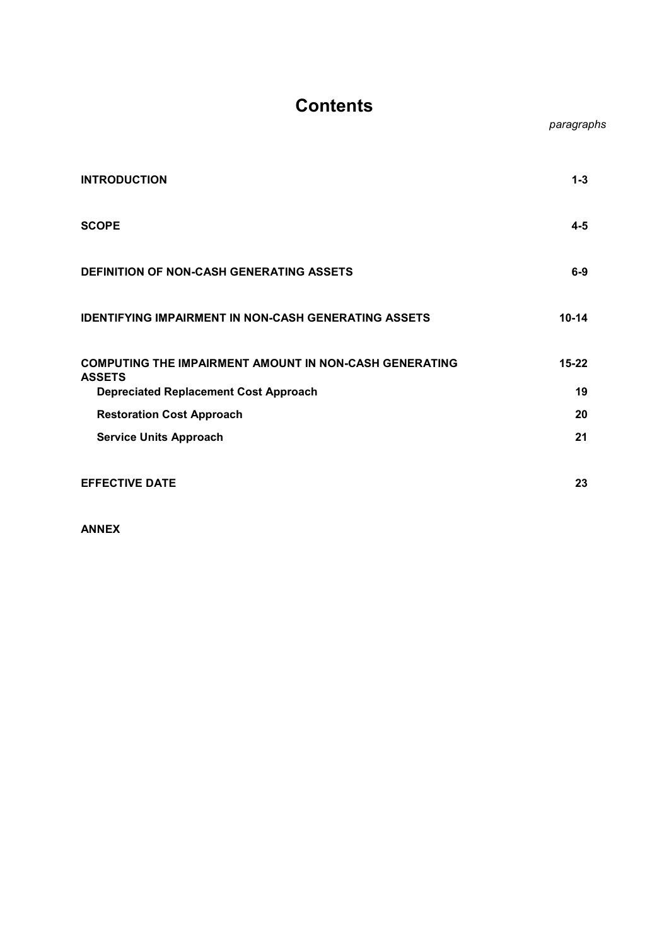## **Contents**

|                                                                         | paragraphs |
|-------------------------------------------------------------------------|------------|
| <b>INTRODUCTION</b>                                                     | $1 - 3$    |
| <b>SCOPE</b>                                                            | $4 - 5$    |
| <b>DEFINITION OF NON-CASH GENERATING ASSETS</b>                         | $6-9$      |
| <b>IDENTIFYING IMPAIRMENT IN NON-CASH GENERATING ASSETS</b>             | $10 - 14$  |
| COMPUTING THE IMPAIRMENT AMOUNT IN NON-CASH GENERATING<br><b>ASSETS</b> | $15 - 22$  |
| <b>Depreciated Replacement Cost Approach</b>                            | 19         |
| <b>Restoration Cost Approach</b>                                        | 20         |
| <b>Service Units Approach</b>                                           | 21         |
| <b>EFFECTIVE DATE</b>                                                   | 23         |

ANNEX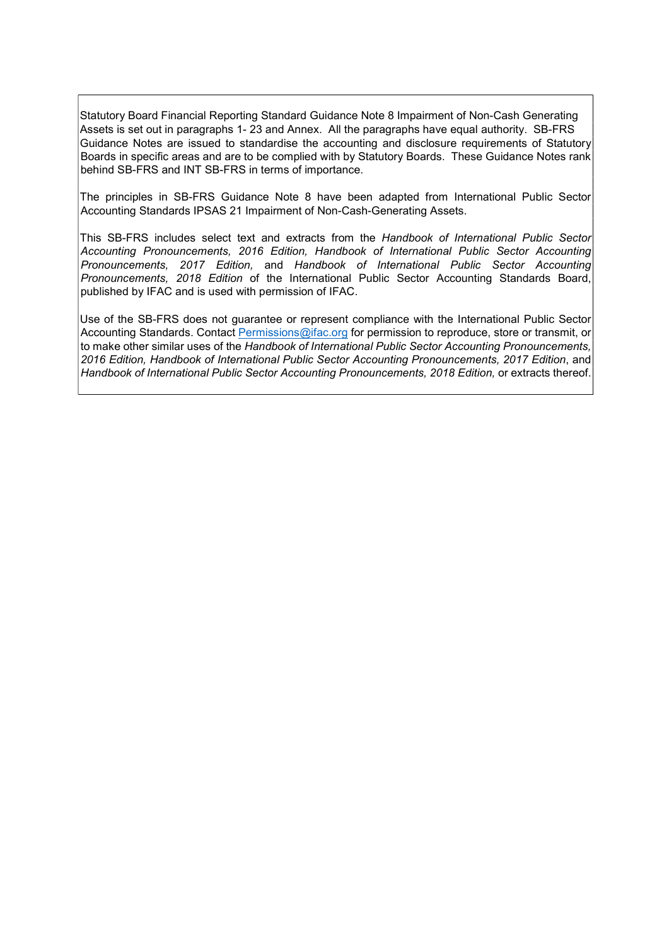Statutory Board Financial Reporting Standard Guidance Note 8 Impairment of Non-Cash Generating Assets is set out in paragraphs 1- 23 and Annex. All the paragraphs have equal authority. SB-FRS Guidance Notes are issued to standardise the accounting and disclosure requirements of Statutory Boards in specific areas and are to be complied with by Statutory Boards. These Guidance Notes rank behind SB-FRS and INT SB-FRS in terms of importance.

The principles in SB-FRS Guidance Note 8 have been adapted from International Public Sector Accounting Standards IPSAS 21 Impairment of Non-Cash-Generating Assets.

This SB-FRS includes select text and extracts from the Handbook of International Public Sector Accounting Pronouncements, 2016 Edition, Handbook of International Public Sector Accounting Pronouncements, 2017 Edition, and Handbook of International Public Sector Accounting Pronouncements, 2018 Edition of the International Public Sector Accounting Standards Board, published by IFAC and is used with permission of IFAC.

Use of the SB-FRS does not guarantee or represent compliance with the International Public Sector Accounting Standards. Contact Permissions@ifac.org for permission to reproduce, store or transmit, or to make other similar uses of the Handbook of International Public Sector Accounting Pronouncements, 2016 Edition, Handbook of International Public Sector Accounting Pronouncements, 2017 Edition, and Handbook of International Public Sector Accounting Pronouncements, 2018 Edition, or extracts thereof.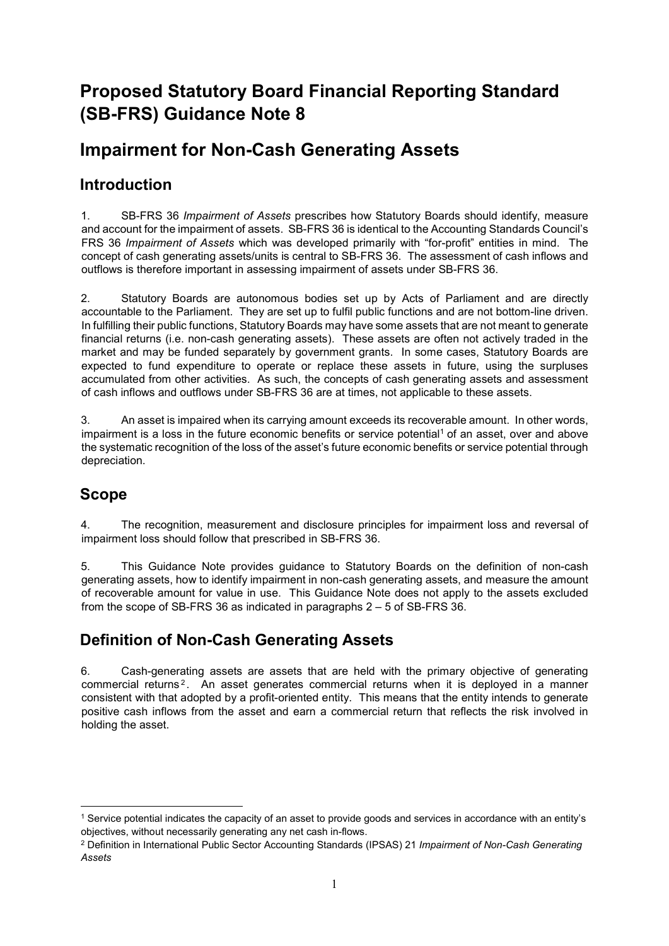## Proposed Statutory Board Financial Reporting Standard (SB-FRS) Guidance Note 8

## Impairment for Non-Cash Generating Assets

## Introduction

1. SB-FRS 36 Impairment of Assets prescribes how Statutory Boards should identify, measure and account for the impairment of assets. SB-FRS 36 is identical to the Accounting Standards Council's FRS 36 Impairment of Assets which was developed primarily with "for-profit" entities in mind. The concept of cash generating assets/units is central to SB-FRS 36. The assessment of cash inflows and outflows is therefore important in assessing impairment of assets under SB-FRS 36.

2. Statutory Boards are autonomous bodies set up by Acts of Parliament and are directly accountable to the Parliament. They are set up to fulfil public functions and are not bottom-line driven. In fulfilling their public functions, Statutory Boards may have some assets that are not meant to generate financial returns (i.e. non-cash generating assets). These assets are often not actively traded in the market and may be funded separately by government grants. In some cases, Statutory Boards are expected to fund expenditure to operate or replace these assets in future, using the surpluses accumulated from other activities. As such, the concepts of cash generating assets and assessment of cash inflows and outflows under SB-FRS 36 are at times, not applicable to these assets.

3. An asset is impaired when its carrying amount exceeds its recoverable amount. In other words, impairment is a loss in the future economic benefits or service potential<sup>1</sup> of an asset, over and above the systematic recognition of the loss of the asset's future economic benefits or service potential through depreciation.

## Scope

-

4. The recognition, measurement and disclosure principles for impairment loss and reversal of impairment loss should follow that prescribed in SB-FRS 36.

5. This Guidance Note provides guidance to Statutory Boards on the definition of non-cash generating assets, how to identify impairment in non-cash generating assets, and measure the amount of recoverable amount for value in use. This Guidance Note does not apply to the assets excluded from the scope of SB-FRS 36 as indicated in paragraphs 2 – 5 of SB-FRS 36.

## Definition of Non-Cash Generating Assets

6. Cash-generating assets are assets that are held with the primary objective of generating commercial returns<sup>2</sup>. An asset generates commercial returns when it is deployed in a manner consistent with that adopted by a profit-oriented entity. This means that the entity intends to generate positive cash inflows from the asset and earn a commercial return that reflects the risk involved in holding the asset.

<sup>1</sup> Service potential indicates the capacity of an asset to provide goods and services in accordance with an entity's objectives, without necessarily generating any net cash in-flows.

<sup>&</sup>lt;sup>2</sup> Definition in International Public Sector Accounting Standards (IPSAS) 21 Impairment of Non-Cash Generating Assets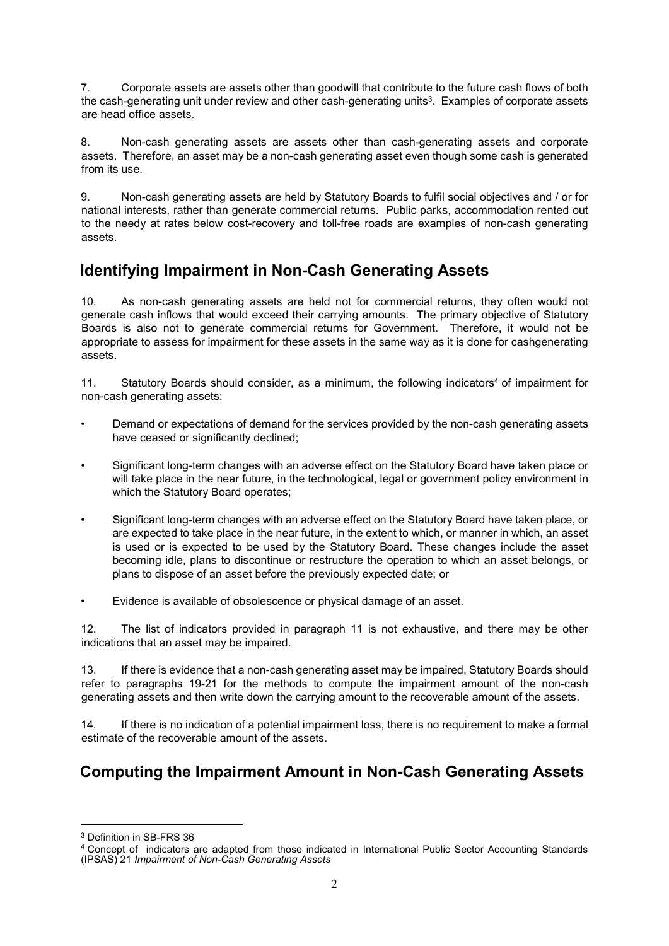7. Corporate assets are assets other than goodwill that contribute to the future cash flows of both the cash-generating unit under review and other cash-generating units $^3\!$  . Examples of corporate assets  $^+$ are head office assets.

8. Non-cash generating assets are assets other than cash-generating assets and corporate assets. Therefore, an asset may be a non-cash generating asset even though some cash is generated from its use.

9. Non-cash generating assets are held by Statutory Boards to fulfil social objectives and / or for national interests, rather than generate commercial returns. Public parks, accommodation rented out to the needy at rates below cost-recovery and toll-free roads are examples of non-cash generating assets.

## Identifying Impairment in Non-Cash Generating Assets

10. As non-cash generating assets are held not for commercial returns, they often would not generate cash inflows that would exceed their carrying amounts. The primary objective of Statutory Boards is also not to generate commercial returns for Government. Therefore, it would not be appropriate to assess for impairment for these assets in the same way as it is done for cashgenerating assets.

11. Statutory Boards should consider, as a minimum, the following indicators<sup>4</sup> of impairment for non-cash generating assets:

- Demand or expectations of demand for the services provided by the non-cash generating assets have ceased or significantly declined;
- Significant long-term changes with an adverse effect on the Statutory Board have taken place or will take place in the near future, in the technological, legal or government policy environment in which the Statutory Board operates;
- Significant long-term changes with an adverse effect on the Statutory Board have taken place, or are expected to take place in the near future, in the extent to which, or manner in which, an asset is used or is expected to be used by the Statutory Board. These changes include the asset becoming idle, plans to discontinue or restructure the operation to which an asset belongs, or plans to dispose of an asset before the previously expected date; or
- Evidence is available of obsolescence or physical damage of an asset.

12. The list of indicators provided in paragraph 11 is not exhaustive, and there may be other indications that an asset may be impaired.

13. If there is evidence that a non-cash generating asset may be impaired, Statutory Boards should refer to paragraphs 19-21 for the methods to compute the impairment amount of the non-cash generating assets and then write down the carrying amount to the recoverable amount of the assets.

14. If there is no indication of a potential impairment loss, there is no requirement to make a formal estimate of the recoverable amount of the assets.

## Computing the Impairment Amount in Non-Cash Generating Assets

-

<sup>3</sup> Definition in SB-FRS 36

<sup>4</sup> Concept of indicators are adapted from those indicated in International Public Sector Accounting Standards (IPSAS) 21 Impairment of Non-Cash Generating Assets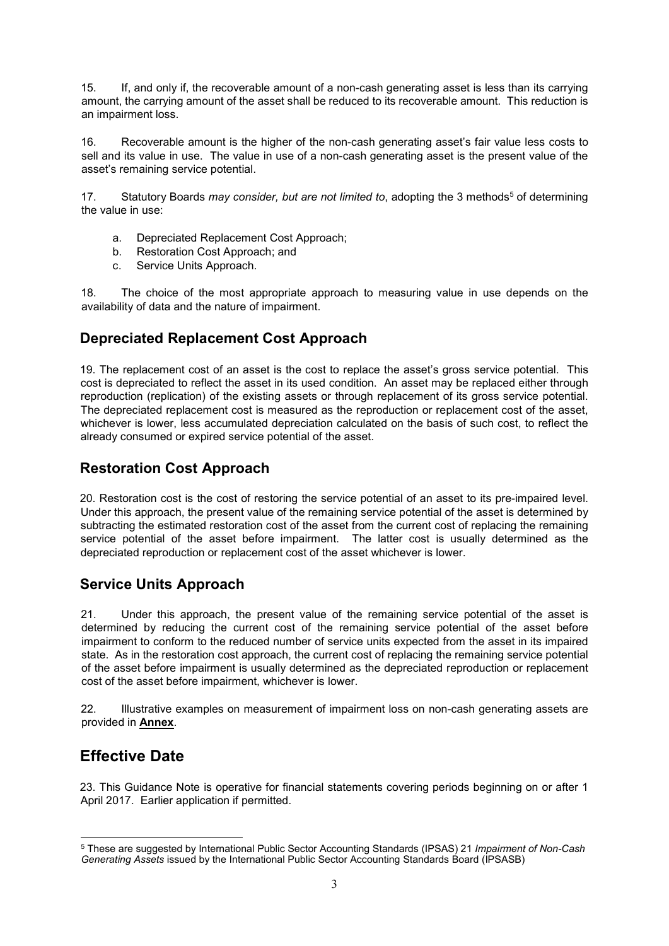15. If, and only if, the recoverable amount of a non-cash generating asset is less than its carrying amount, the carrying amount of the asset shall be reduced to its recoverable amount. This reduction is an impairment loss.

16. Recoverable amount is the higher of the non-cash generating asset's fair value less costs to sell and its value in use. The value in use of a non-cash generating asset is the present value of the asset's remaining service potential.

17. Statutory Boards *may consider, but are not limited to*, adopting the 3 methods<sup>5</sup> of determining the value in use:

- a. Depreciated Replacement Cost Approach;
- b. Restoration Cost Approach; and
- c. Service Units Approach.

18. The choice of the most appropriate approach to measuring value in use depends on the availability of data and the nature of impairment.

#### Depreciated Replacement Cost Approach

19. The replacement cost of an asset is the cost to replace the asset's gross service potential. This cost is depreciated to reflect the asset in its used condition. An asset may be replaced either through reproduction (replication) of the existing assets or through replacement of its gross service potential. The depreciated replacement cost is measured as the reproduction or replacement cost of the asset, whichever is lower, less accumulated depreciation calculated on the basis of such cost, to reflect the already consumed or expired service potential of the asset.

#### Restoration Cost Approach

20. Restoration cost is the cost of restoring the service potential of an asset to its pre-impaired level. Under this approach, the present value of the remaining service potential of the asset is determined by subtracting the estimated restoration cost of the asset from the current cost of replacing the remaining service potential of the asset before impairment. The latter cost is usually determined as the depreciated reproduction or replacement cost of the asset whichever is lower.

#### Service Units Approach

21. Under this approach, the present value of the remaining service potential of the asset is determined by reducing the current cost of the remaining service potential of the asset before impairment to conform to the reduced number of service units expected from the asset in its impaired state. As in the restoration cost approach, the current cost of replacing the remaining service potential of the asset before impairment is usually determined as the depreciated reproduction or replacement cost of the asset before impairment, whichever is lower.

22. Illustrative examples on measurement of impairment loss on non-cash generating assets are provided in Annex.

### Effective Date

-

23. This Guidance Note is operative for financial statements covering periods beginning on or after 1 April 2017. Earlier application if permitted.

<sup>&</sup>lt;sup>5</sup> These are suggested by International Public Sector Accounting Standards (IPSAS) 21 Impairment of Non-Cash Generating Assets issued by the International Public Sector Accounting Standards Board (IPSASB)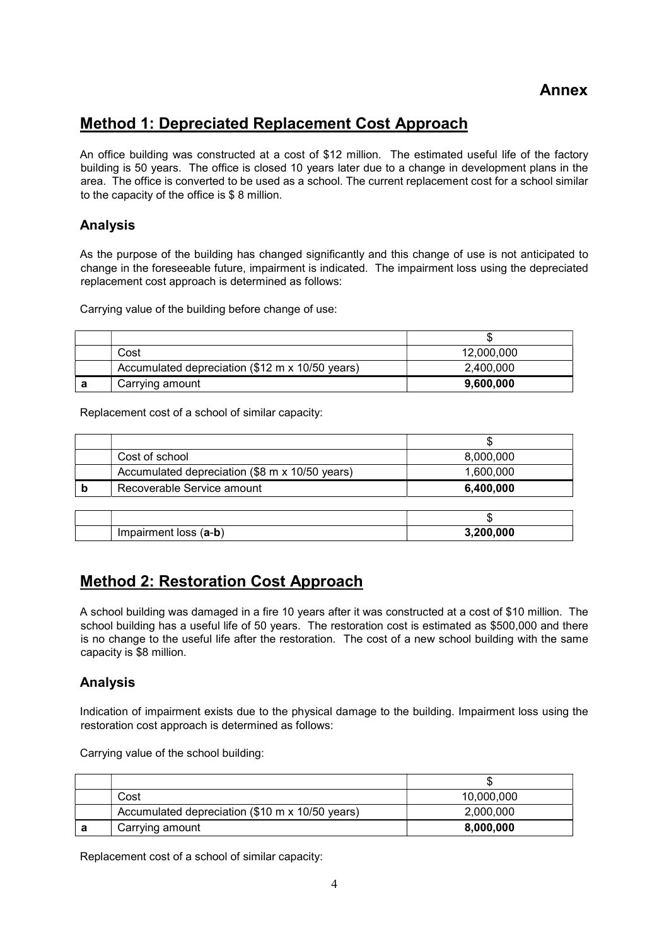#### Annex

### Method 1: Depreciated Replacement Cost Approach

An office building was constructed at a cost of \$12 million. The estimated useful life of the factory building is 50 years. The office is closed 10 years later due to a change in development plans in the area. The office is converted to be used as a school. The current replacement cost for a school similar to the capacity of the office is \$ 8 million.

#### Analysis

As the purpose of the building has changed significantly and this change of use is not anticipated to change in the foreseeable future, impairment is indicated. The impairment loss using the depreciated replacement cost approach is determined as follows:

Carrying value of the building before change of use:

|                                                 | w          |
|-------------------------------------------------|------------|
| Cost                                            | 12,000,000 |
| Accumulated depreciation (\$12 m x 10/50 years) | 2,400,000  |
| Carrying amount                                 | 9,600,000  |

Replacement cost of a school of similar capacity:

|   | Cost of school                                 | 8,000,000 |
|---|------------------------------------------------|-----------|
|   | Accumulated depreciation (\$8 m x 10/50 years) | 1,600,000 |
| b | Recoverable Service amount                     | 6,400,000 |
|   |                                                |           |
|   |                                                |           |
|   | Impairment loss (a-b)                          | 3,200,000 |

### Method 2: Restoration Cost Approach

A school building was damaged in a fire 10 years after it was constructed at a cost of \$10 million. The school building has a useful life of 50 years. The restoration cost is estimated as \$500,000 and there is no change to the useful life after the restoration. The cost of a new school building with the same capacity is \$8 million.

#### Analysis

Indication of impairment exists due to the physical damage to the building. Impairment loss using the restoration cost approach is determined as follows:

Carrying value of the school building:

|   | Cost                                            | 10,000,000 |
|---|-------------------------------------------------|------------|
|   | Accumulated depreciation (\$10 m x 10/50 years) | 2,000,000  |
| а | Carrying amount                                 | 8,000,000  |

Replacement cost of a school of similar capacity: